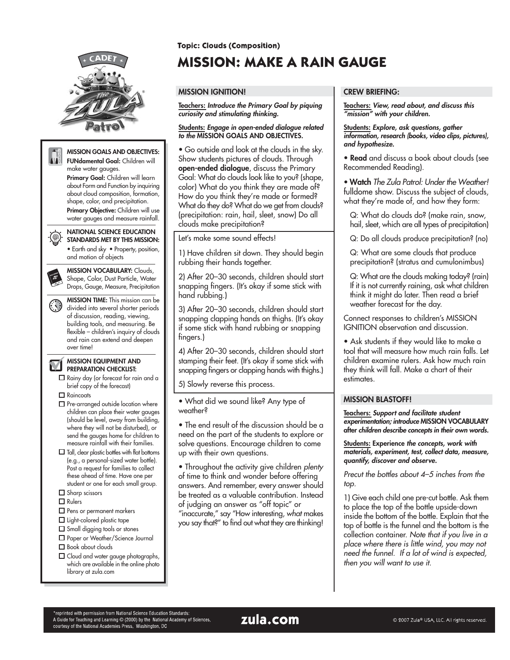

**Topic: Clouds (Composition)** 

# **MISSION: MAKE A RAIN GAUGE**

## **MISSION IGNITION!**

**Teachers: Introduce the Primary Goal by piquing curiosity and stimulating thinking.**

#### **Students: Engage in open-ended dialogue related to the MISSION GOALS AND OBJECTIVES.**

• Go outside and look at the clouds in the sky. Show students pictures of clouds. Through **open-ended dialogue**, discuss the Primary Goal: What do clouds look like to you? (shape, color) What do you think they are made of? How do you think they're made or formed? What do they do? What do we get from clouds? (precipitation: rain, hail, sleet, snow) Do all clouds make precipitation?

Let's make some sound effects!

1) Have children sit down. They should begin rubbing their hands together.

2) After 20–30 seconds, children should start snapping fingers. (It's okay if some stick with hand rubbing.)

3) After 20–30 seconds, children should start snapping clapping hands on thighs. (It's okay if some stick with hand rubbing or snapping fingers.)

4) After 20–30 seconds, children should start stamping their feet. (It's okay if some stick with snapping fingers or clapping hands with thighs.)

5) Slowly reverse this process.

• What did we sound like? Any type of weather?

• The end result of the discussion should be a need on the part of the students to explore or solve questions. Encourage children to come up with their own questions.

• Throughout the activity give children plenty of time to think and wonder before offering answers. And remember, every answer should be treated as a valuable contribution. Instead of judging an answer as "off topic" or "inaccurate," say "How interesting, what makes you say that?" to find out what they are thinking!

## **CREW BRIEFING:**

**Teachers: View, read about, and discuss this "mission" with your children.**

**Students: Explore, ask questions, gather information, research (books, video clips, pictures), and hypothesize.**

**• Read** and discuss a book about clouds (see Recommended Reading).

• **Watch** The Zula Patrol: Under the Weather! fulldome show. Discuss the subject of clouds, what they're made of, and how they form:

Q: What do clouds do? (make rain, snow, hail, sleet, which are all types of precipitation)

Q: Do all clouds produce precipitation? (no)

Q: What are some clouds that produce precipitation? (stratus and cumulonimbus)

Q: What are the clouds making today? (rain) If it is not currently raining, ask what children think it might do later. Then read a brief weather forecast for the day.

Connect responses to children's MISSION IGNITION observation and discussion.

• Ask students if they would like to make a tool that will measure how much rain falls. Let children examine rulers. Ask how much rain they think will fall. Make a chart of their estimates.

## **MISSION BLASTOFF!**

**Teachers: Support and facilitate student experimentation; introduce MISSION VOCABULARY after children describe concepts in their own words.**

**Students: Experience the concepts, work with materials, experiment, test, collect data, measure, quantify, discover and observe.**

Precut the bottles about 4–5 inches from the top.

1) Give each child one pre-cut bottle. Ask them to place the top of the bottle upside-down inside the bottom of the bottle. Explain that the top of bottle is the funnel and the bottom is the collection container. Note that if you live in a <sup>p</sup>lace where there is little wind, you may not need the funnel. If a lot of wind is expected, then you will want to use it.